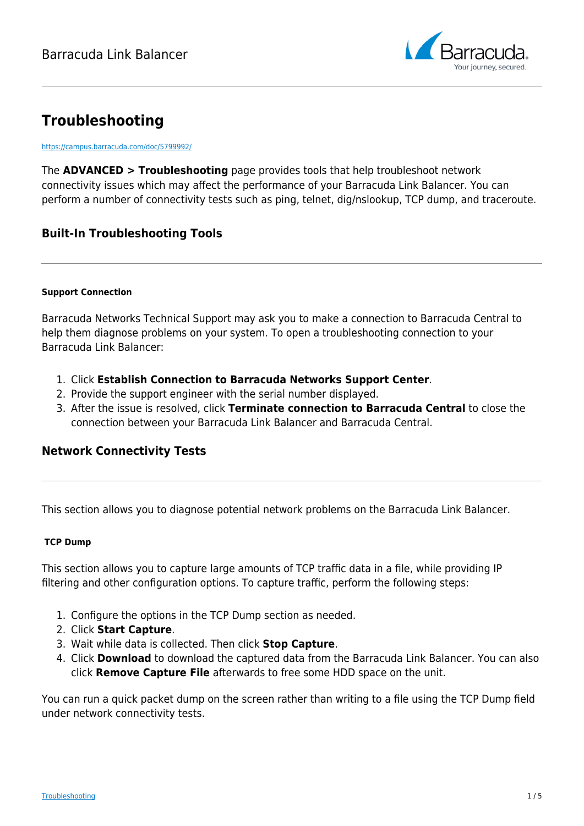

# **Troubleshooting**

<https://campus.barracuda.com/doc/5799992/>

The **ADVANCED > Troubleshooting** page provides tools that help troubleshoot network connectivity issues which may affect the performance of your Barracuda Link Balancer. You can perform a number of connectivity tests such as ping, telnet, dig/nslookup, TCP dump, and traceroute.

# **Built-In Troubleshooting Tools**

#### **Support Connection**

Barracuda Networks Technical Support may ask you to make a connection to Barracuda Central to help them diagnose problems on your system. To open a troubleshooting connection to your Barracuda Link Balancer:

- 1. Click **Establish Connection to Barracuda Networks Support Center**.
- 2. Provide the support engineer with the serial number displayed.
- 3. After the issue is resolved, click **Terminate connection to Barracuda Central** to close the connection between your Barracuda Link Balancer and Barracuda Central.

## **Network Connectivity Tests**

This section allows you to diagnose potential network problems on the Barracuda Link Balancer.

#### **TCP Dump**

This section allows you to capture large amounts of TCP traffic data in a file, while providing IP filtering and other configuration options. To capture traffic, perform the following steps:

- 1. Configure the options in the TCP Dump section as needed.
- 2. Click **Start Capture**.
- 3. Wait while data is collected. Then click **Stop Capture**.
- 4. Click **Download** to download the captured data from the Barracuda Link Balancer. You can also click **Remove Capture File** afterwards to free some HDD space on the unit.

You can run a quick packet dump on the screen rather than writing to a file using the TCP Dump field under network connectivity tests.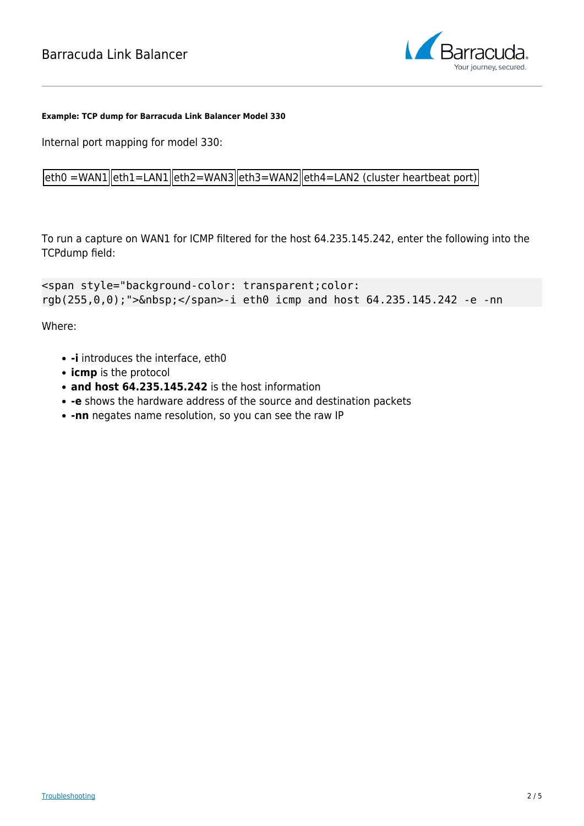

#### **Example: TCP dump for Barracuda Link Balancer Model 330**

Internal port mapping for model 330:

 $|eth0 =$ WAN1 $||eth1 =$ LAN1 $||eth2 =$ WAN3 $||eth3 =$ WAN2 $||eth4 =$ LAN2 (cluster heartbeat port)

To run a capture on WAN1 for ICMP filtered for the host 64.235.145.242, enter the following into the TCPdump field:

```
<span style="background-color: transparent;color:
rgb(255,0,0);">&nbsp;</span>-i eth0 icmp and host 64.235.145.242 -e -nn
```
Where:

- **-i** introduces the interface, eth0
- **icmp** is the protocol
- **and host 64.235.145.242** is the host information
- **-e** shows the hardware address of the source and destination packets
- **-nn** negates name resolution, so you can see the raw IP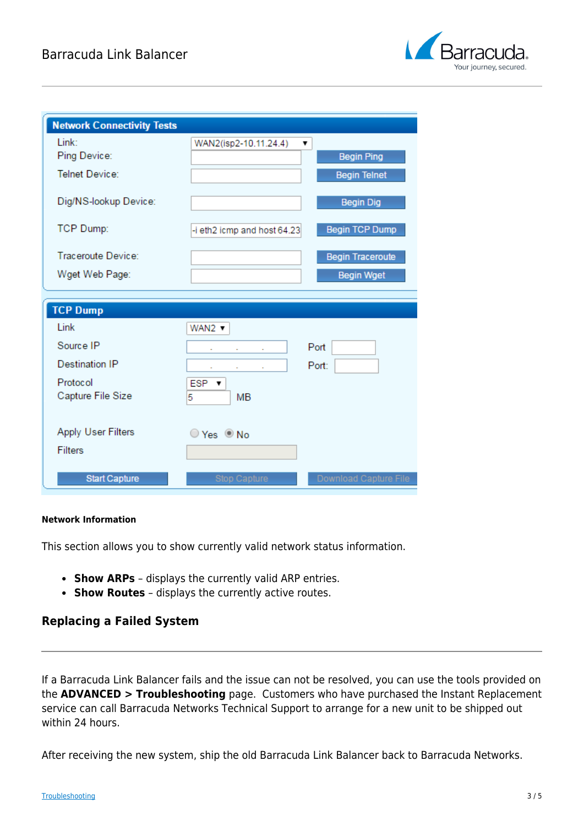

| <b>Network Connectivity Tests</b> |                             |                         |
|-----------------------------------|-----------------------------|-------------------------|
| Link:                             | WAN2(isp2-10.11.24.4)       | 7                       |
| Ping Device:                      |                             | <b>Begin Ping</b>       |
| <b>Telnet Device:</b>             |                             | <b>Begin Telnet</b>     |
| Dig/NS-lookup Device:             |                             | <b>Begin Dig</b>        |
| <b>TCP Dump:</b>                  | -i eth2 icmp and host 64.23 | <b>Begin TCP Dump</b>   |
| Traceroute Device:                |                             | <b>Begin Traceroute</b> |
| Wget Web Page:                    |                             | <b>Begin Wget</b>       |
|                                   |                             |                         |
|                                   |                             |                         |
| <b>TCP Dump</b>                   |                             |                         |
| Link                              | $WAN2 -$                    |                         |
| Source IP                         |                             | Port                    |
| <b>Destination IP</b>             |                             | Port:                   |
| Protocol                          | $ESP \rightarrow$           |                         |
| Capture File Size                 | MB<br>5                     |                         |
|                                   |                             |                         |
| <b>Apply User Filters</b>         | ○ Yes ◎ No                  |                         |
| <b>Filters</b>                    |                             |                         |
|                                   |                             |                         |

#### **Network Information**

This section allows you to show currently valid network status information.

- **Show ARPs** displays the currently valid ARP entries.
- **Show Routes** displays the currently active routes.

### **Replacing a Failed System**

If a Barracuda Link Balancer fails and the issue can not be resolved, you can use the tools provided on the **ADVANCED > Troubleshooting** page. Customers who have purchased the Instant Replacement service can call Barracuda Networks Technical Support to arrange for a new unit to be shipped out within 24 hours.

After receiving the new system, ship the old Barracuda Link Balancer back to Barracuda Networks.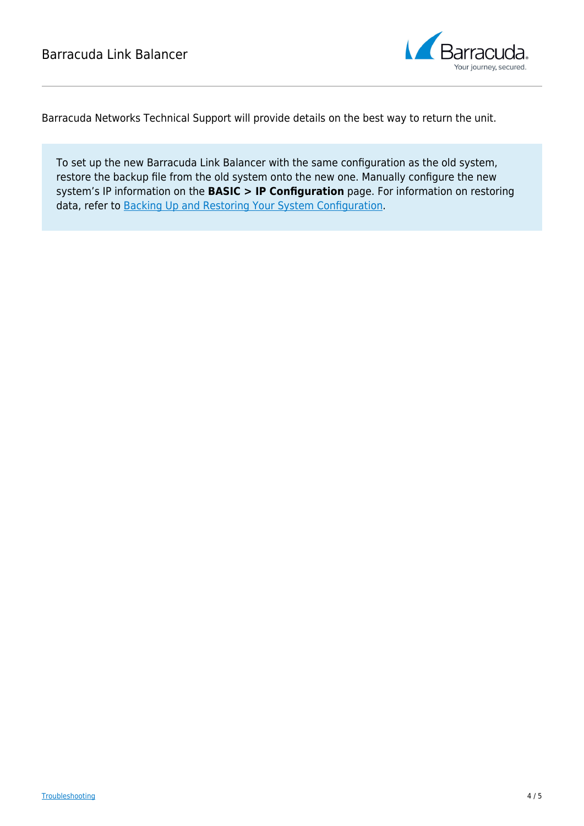

Barracuda Networks Technical Support will provide details on the best way to return the unit.

To set up the new Barracuda Link Balancer with the same configuration as the old system, restore the backup file from the old system onto the new one. Manually configure the new system's IP information on the **BASIC > IP Configuration** page. For information on restoring data, refer to [Backing Up and Restoring Your System Configuration](http://campus.barracuda.com/doc/5799984/).